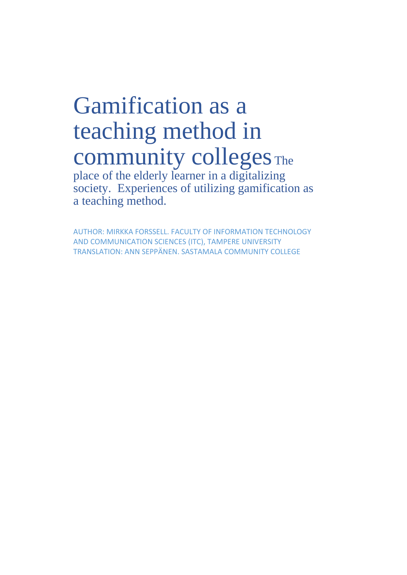# Gamification as a teaching method in community colleges The

place of the elderly learner in a digitalizing society. Experiences of utilizing gamification as a teaching method.

AUTHOR: MIRKKA FORSSELL. FACULTY OF INFORMATION TECHNOLOGY AND COMMUNICATION SCIENCES (ITC), TAMPERE UNIVERSITY TRANSLATION: ANN SEPPÄNEN. SASTAMALA COMMUNITY COLLEGE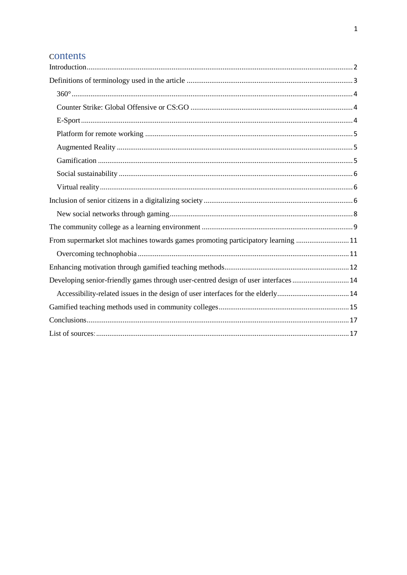# contents

| From supermarket slot machines towards games promoting participatory learning 11    |  |
|-------------------------------------------------------------------------------------|--|
|                                                                                     |  |
|                                                                                     |  |
| Developing senior-friendly games through user-centred design of user interfaces  14 |  |
|                                                                                     |  |
|                                                                                     |  |
|                                                                                     |  |
|                                                                                     |  |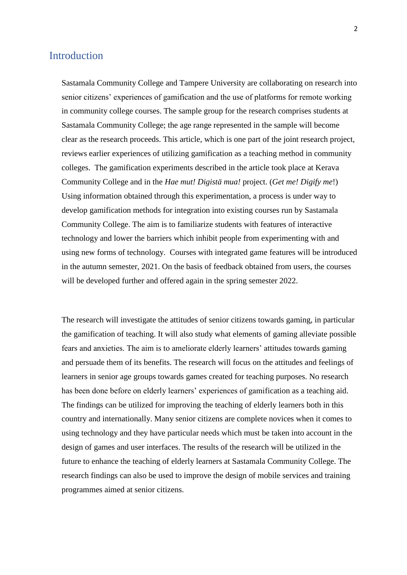## <span id="page-2-0"></span>Introduction

Sastamala Community College and Tampere University are collaborating on research into senior citizens' experiences of gamification and the use of platforms for remote working in community college courses. The sample group for the research comprises students at Sastamala Community College; the age range represented in the sample will become clear as the research proceeds. This article, which is one part of the joint research project, reviews earlier experiences of utilizing gamification as a teaching method in community colleges. The gamification experiments described in the article took place at Kerava Community College and in the *Hae mut! Digistä mua!* project. (*Get me! Digify me*!) Using information obtained through this experimentation, a process is under way to develop gamification methods for integration into existing courses run by Sastamala Community College. The aim is to familiarize students with features of interactive technology and lower the barriers which inhibit people from experimenting with and using new forms of technology. Courses with integrated game features will be introduced in the autumn semester, 2021. On the basis of feedback obtained from users, the courses will be developed further and offered again in the spring semester 2022.

The research will investigate the attitudes of senior citizens towards gaming, in particular the gamification of teaching. It will also study what elements of gaming alleviate possible fears and anxieties. The aim is to ameliorate elderly learners' attitudes towards gaming and persuade them of its benefits. The research will focus on the attitudes and feelings of learners in senior age groups towards games created for teaching purposes. No research has been done before on elderly learners' experiences of gamification as a teaching aid. The findings can be utilized for improving the teaching of elderly learners both in this country and internationally. Many senior citizens are complete novices when it comes to using technology and they have particular needs which must be taken into account in the design of games and user interfaces. The results of the research will be utilized in the future to enhance the teaching of elderly learners at Sastamala Community College. The research findings can also be used to improve the design of mobile services and training programmes aimed at senior citizens.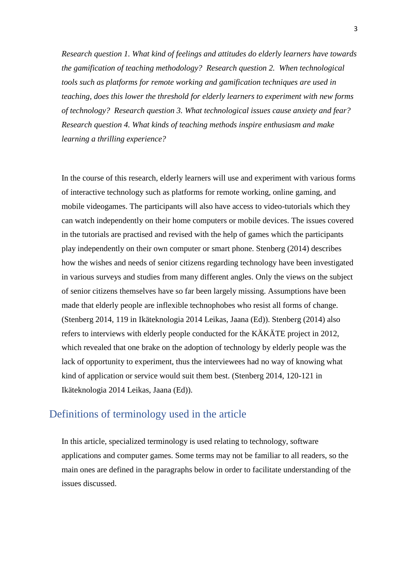*Research question 1. What kind of feelings and attitudes do elderly learners have towards the gamification of teaching methodology? Research question 2. When technological tools such as platforms for remote working and gamification techniques are used in teaching, does this lower the threshold for elderly learners to experiment with new forms of technology? Research question 3. What technological issues cause anxiety and fear? Research question 4. What kinds of teaching methods inspire enthusiasm and make learning a thrilling experience?*

In the course of this research, elderly learners will use and experiment with various forms of interactive technology such as platforms for remote working, online gaming, and mobile videogames. The participants will also have access to video-tutorials which they can watch independently on their home computers or mobile devices. The issues covered in the tutorials are practised and revised with the help of games which the participants play independently on their own computer or smart phone. Stenberg (2014) describes how the wishes and needs of senior citizens regarding technology have been investigated in various surveys and studies from many different angles. Only the views on the subject of senior citizens themselves have so far been largely missing. Assumptions have been made that elderly people are inflexible technophobes who resist all forms of change. (Stenberg 2014, 119 in Ikäteknologia 2014 Leikas, Jaana (Ed)). Stenberg (2014) also refers to interviews with elderly people conducted for the KÄKÄTE project in 2012, which revealed that one brake on the adoption of technology by elderly people was the lack of opportunity to experiment, thus the interviewees had no way of knowing what kind of application or service would suit them best. (Stenberg 2014, 120-121 in Ikäteknologia 2014 Leikas, Jaana (Ed)).

## <span id="page-3-0"></span>Definitions of terminology used in the article

In this article, specialized terminology is used relating to technology, software applications and computer games. Some terms may not be familiar to all readers, so the main ones are defined in the paragraphs below in order to facilitate understanding of the issues discussed.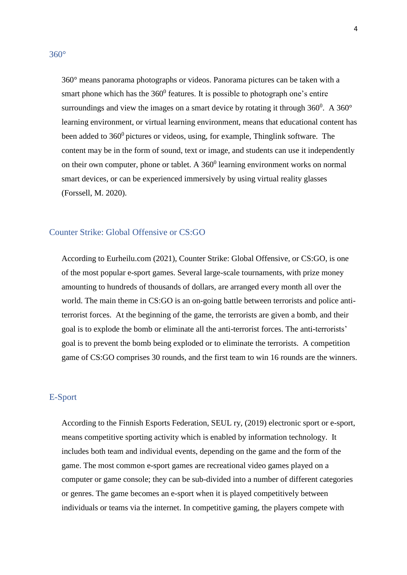<span id="page-4-0"></span>360° means panorama photographs or videos. Panorama pictures can be taken with a smart phone which has the  $360^{\circ}$  features. It is possible to photograph one's entire surroundings and view the images on a smart device by rotating it through  $360^{\circ}$ . A  $360^{\circ}$ learning environment, or virtual learning environment, means that educational content has been added to  $360^{\circ}$  pictures or videos, using, for example, Thinglink software. The content may be in the form of sound, text or image, and students can use it independently on their own computer, phone or tablet. A  $360^0$  learning environment works on normal smart devices, or can be experienced immersively by using virtual reality glasses (Forssell, M. 2020).

#### <span id="page-4-1"></span>Counter Strike: Global Offensive or CS:GO

According to Eurheilu.com (2021), Counter Strike: Global Offensive, or CS:GO, is one of the most popular e-sport games. Several large-scale tournaments, with prize money amounting to hundreds of thousands of dollars, are arranged every month all over the world. The main theme in CS:GO is an on-going battle between terrorists and police antiterrorist forces. At the beginning of the game, the terrorists are given a bomb, and their goal is to explode the bomb or eliminate all the anti-terrorist forces. The anti-terrorists' goal is to prevent the bomb being exploded or to eliminate the terrorists. A competition game of CS:GO comprises 30 rounds, and the first team to win 16 rounds are the winners.

#### <span id="page-4-2"></span>E-Sport

According to the Finnish Esports Federation, SEUL ry, (2019) electronic sport or e-sport, means competitive sporting activity which is enabled by information technology. It includes both team and individual events, depending on the game and the form of the game. The most common e-sport games are recreational video games played on a computer or game console; they can be sub-divided into a number of different categories or genres. The game becomes an e-sport when it is played competitively between individuals or teams via the internet. In competitive gaming, the players compete with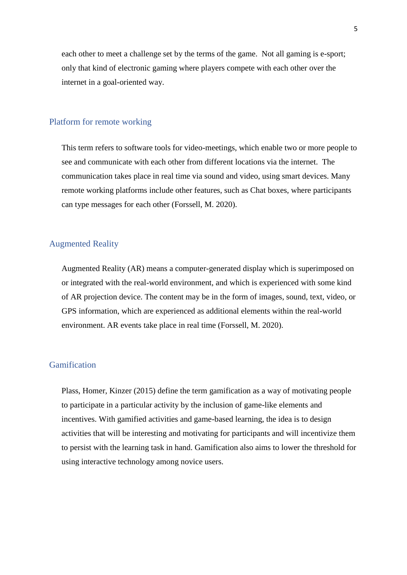each other to meet a challenge set by the terms of the game. Not all gaming is e-sport; only that kind of electronic gaming where players compete with each other over the internet in a goal-oriented way.

#### <span id="page-5-0"></span>Platform for remote working

This term refers to software tools for video-meetings, which enable two or more people to see and communicate with each other from different locations via the internet. The communication takes place in real time via sound and video, using smart devices. Many remote working platforms include other features, such as Chat boxes, where participants can type messages for each other (Forssell, M. 2020).

#### <span id="page-5-1"></span>Augmented Reality

Augmented Reality (AR) means a computer-generated display which is superimposed on or integrated with the real-world environment, and which is experienced with some kind of AR projection device. The content may be in the form of images, sound, text, video, or GPS information, which are experienced as additional elements within the real-world environment. AR events take place in real time (Forssell, M. 2020).

#### <span id="page-5-2"></span>Gamification

Plass, Homer, Kinzer (2015) define the term gamification as a way of motivating people to participate in a particular activity by the inclusion of game-like elements and incentives. With gamified activities and game-based learning, the idea is to design activities that will be interesting and motivating for participants and will incentivize them to persist with the learning task in hand. Gamification also aims to lower the threshold for using interactive technology among novice users.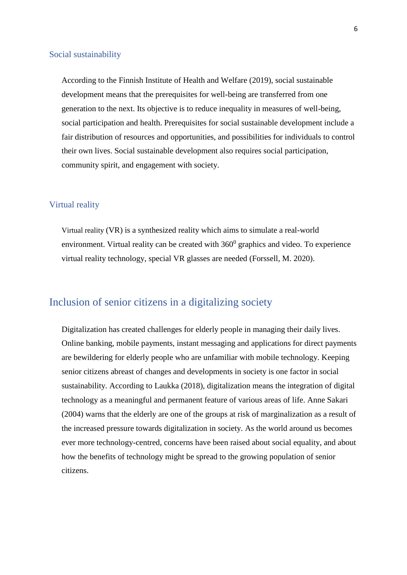#### <span id="page-6-0"></span>Social sustainability

According to the Finnish Institute of Health and Welfare (2019), social sustainable development means that the prerequisites for well-being are transferred from one generation to the next. Its objective is to reduce inequality in measures of well-being, social participation and health. Prerequisites for social sustainable development include a fair distribution of resources and opportunities, and possibilities for individuals to control their own lives. Social sustainable development also requires social participation, community spirit, and engagement with society.

#### <span id="page-6-1"></span>Virtual reality

Virtual reality (VR) is a synthesized reality which aims to simulate a real-world environment. Virtual reality can be created with  $360^{\circ}$  graphics and video. To experience virtual reality technology, special VR glasses are needed (Forssell, M. 2020).

# <span id="page-6-2"></span>Inclusion of senior citizens in a digitalizing society

Digitalization has created challenges for elderly people in managing their daily lives. Online banking, mobile payments, instant messaging and applications for direct payments are bewildering for elderly people who are unfamiliar with mobile technology. Keeping senior citizens abreast of changes and developments in society is one factor in social sustainability. According to Laukka (2018), digitalization means the integration of digital technology as a meaningful and permanent feature of various areas of life. Anne Sakari (2004) warns that the elderly are one of the groups at risk of marginalization as a result of the increased pressure towards digitalization in society. As the world around us becomes ever more technology-centred, concerns have been raised about social equality, and about how the benefits of technology might be spread to the growing population of senior citizens.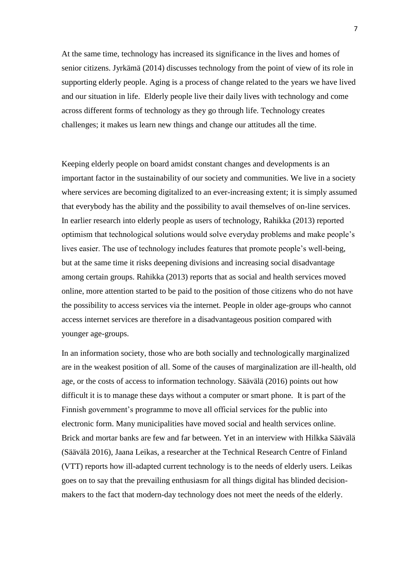At the same time, technology has increased its significance in the lives and homes of senior citizens. Jyrkämä (2014) discusses technology from the point of view of its role in supporting elderly people. Aging is a process of change related to the years we have lived and our situation in life. Elderly people live their daily lives with technology and come across different forms of technology as they go through life. Technology creates challenges; it makes us learn new things and change our attitudes all the time.

Keeping elderly people on board amidst constant changes and developments is an important factor in the sustainability of our society and communities. We live in a society where services are becoming digitalized to an ever-increasing extent; it is simply assumed that everybody has the ability and the possibility to avail themselves of on-line services. In earlier research into elderly people as users of technology, Rahikka (2013) reported optimism that technological solutions would solve everyday problems and make people's lives easier. The use of technology includes features that promote people's well-being, but at the same time it risks deepening divisions and increasing social disadvantage among certain groups. Rahikka (2013) reports that as social and health services moved online, more attention started to be paid to the position of those citizens who do not have the possibility to access services via the internet. People in older age-groups who cannot access internet services are therefore in a disadvantageous position compared with younger age-groups.

In an information society, those who are both socially and technologically marginalized are in the weakest position of all. Some of the causes of marginalization are ill-health, old age, or the costs of access to information technology. Säävälä (2016) points out how difficult it is to manage these days without a computer or smart phone. It is part of the Finnish government's programme to move all official services for the public into electronic form. Many municipalities have moved social and health services online. Brick and mortar banks are few and far between. Yet in an interview with Hilkka Säävälä (Säävälä 2016), Jaana Leikas, a researcher at the Technical Research Centre of Finland (VTT) reports how ill-adapted current technology is to the needs of elderly users. Leikas goes on to say that the prevailing enthusiasm for all things digital has blinded decisionmakers to the fact that modern-day technology does not meet the needs of the elderly.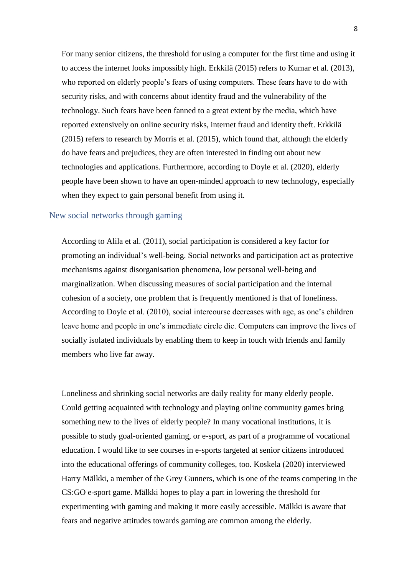For many senior citizens, the threshold for using a computer for the first time and using it to access the internet looks impossibly high. Erkkilä (2015) refers to Kumar et al. (2013), who reported on elderly people's fears of using computers. These fears have to do with security risks, and with concerns about identity fraud and the vulnerability of the technology. Such fears have been fanned to a great extent by the media, which have reported extensively on online security risks, internet fraud and identity theft. Erkkilä (2015) refers to research by Morris et al. (2015), which found that, although the elderly do have fears and prejudices, they are often interested in finding out about new technologies and applications. Furthermore, according to Doyle et al. (2020), elderly people have been shown to have an open-minded approach to new technology, especially when they expect to gain personal benefit from using it.

#### <span id="page-8-0"></span>New social networks through gaming

According to Alila et al. (2011), social participation is considered a key factor for promoting an individual's well-being. Social networks and participation act as protective mechanisms against disorganisation phenomena, low personal well-being and marginalization. When discussing measures of social participation and the internal cohesion of a society, one problem that is frequently mentioned is that of loneliness. According to Doyle et al. (2010), social intercourse decreases with age, as one's children leave home and people in one's immediate circle die. Computers can improve the lives of socially isolated individuals by enabling them to keep in touch with friends and family members who live far away.

Loneliness and shrinking social networks are daily reality for many elderly people. Could getting acquainted with technology and playing online community games bring something new to the lives of elderly people? In many vocational institutions, it is possible to study goal-oriented gaming, or e-sport, as part of a programme of vocational education. I would like to see courses in e-sports targeted at senior citizens introduced into the educational offerings of community colleges, too. Koskela (2020) interviewed Harry Mälkki, a member of the Grey Gunners, which is one of the teams competing in the CS:GO e-sport game. Mälkki hopes to play a part in lowering the threshold for experimenting with gaming and making it more easily accessible. Mälkki is aware that fears and negative attitudes towards gaming are common among the elderly.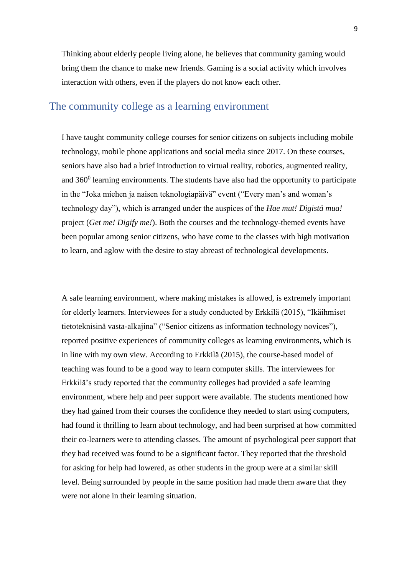Thinking about elderly people living alone, he believes that community gaming would bring them the chance to make new friends. Gaming is a social activity which involves interaction with others, even if the players do not know each other.

# <span id="page-9-0"></span>The community college as a learning environment

I have taught community college courses for senior citizens on subjects including mobile technology, mobile phone applications and social media since 2017. On these courses, seniors have also had a brief introduction to virtual reality, robotics, augmented reality, and  $360<sup>0</sup>$  learning environments. The students have also had the opportunity to participate in the "Joka miehen ja naisen teknologiapäivä" event ("Every man's and woman's technology day"), which is arranged under the auspices of the *Hae mut! Digistä mua!* project (*Get me! Digify me!*). Both the courses and the technology-themed events have been popular among senior citizens, who have come to the classes with high motivation to learn, and aglow with the desire to stay abreast of technological developments.

A safe learning environment, where making mistakes is allowed, is extremely important for elderly learners. Interviewees for a study conducted by Erkkilä (2015), "Ikäihmiset tietoteknisinä vasta-alkajina" ("Senior citizens as information technology novices"), reported positive experiences of community colleges as learning environments, which is in line with my own view. According to Erkkilä (2015), the course-based model of teaching was found to be a good way to learn computer skills. The interviewees for Erkkilä's study reported that the community colleges had provided a safe learning environment, where help and peer support were available. The students mentioned how they had gained from their courses the confidence they needed to start using computers, had found it thrilling to learn about technology, and had been surprised at how committed their co-learners were to attending classes. The amount of psychological peer support that they had received was found to be a significant factor. They reported that the threshold for asking for help had lowered, as other students in the group were at a similar skill level. Being surrounded by people in the same position had made them aware that they were not alone in their learning situation.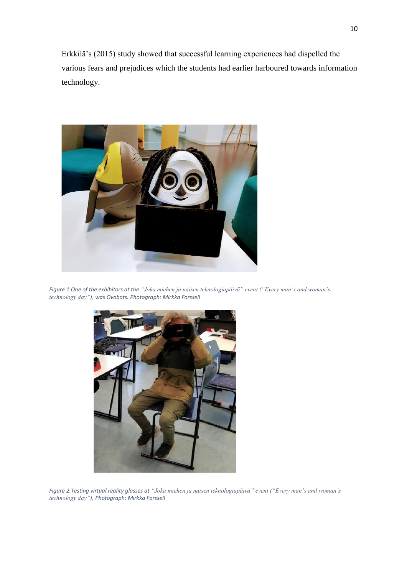Erkkilä's (2015) study showed that successful learning experiences had dispelled the various fears and prejudices which the students had earlier harboured towards information technology.



*Figure 1.One of the exhibitors at the "Joka miehen ja naisen teknologiapäivä" event ("Every man's and woman's technology day"), was Ovobots. Photograph: Mirkka Forssell*



*Figure 2.Testing virtual reality glasses at "Joka miehen ja naisen teknologiapäivä" event ("Every man's and woman's technology day"), Photograph: Mirkka Forssell*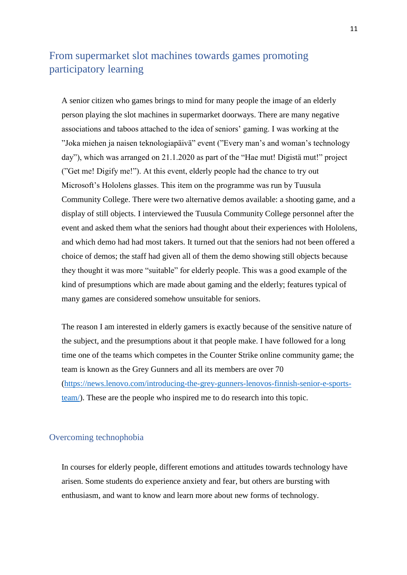# <span id="page-11-0"></span>From supermarket slot machines towards games promoting participatory learning

A senior citizen who games brings to mind for many people the image of an elderly person playing the slot machines in supermarket doorways. There are many negative associations and taboos attached to the idea of seniors' gaming. I was working at the "Joka miehen ja naisen teknologiapäivä" event ("Every man's and woman's technology day"), which was arranged on 21.1.2020 as part of the "Hae mut! Digistä mut!" project ("Get me! Digify me!"). At this event, elderly people had the chance to try out Microsoft's Hololens glasses. This item on the programme was run by Tuusula Community College. There were two alternative demos available: a shooting game, and a display of still objects. I interviewed the Tuusula Community College personnel after the event and asked them what the seniors had thought about their experiences with Hololens, and which demo had had most takers. It turned out that the seniors had not been offered a choice of demos; the staff had given all of them the demo showing still objects because they thought it was more "suitable" for elderly people. This was a good example of the kind of presumptions which are made about gaming and the elderly; features typical of many games are considered somehow unsuitable for seniors.

The reason I am interested in elderly gamers is exactly because of the sensitive nature of the subject, and the presumptions about it that people make. I have followed for a long time one of the teams which competes in the Counter Strike online community game; the team is known as the Grey Gunners and all its members are over 70 [\(https://news.lenovo.com/introducing-the-grey-gunners-lenovos-finnish-senior-e-sports](https://news.lenovo.com/introducing-the-grey-gunners-lenovos-finnish-senior-e-sports-team/)[team/\)](https://news.lenovo.com/introducing-the-grey-gunners-lenovos-finnish-senior-e-sports-team/). These are the people who inspired me to do research into this topic.

#### <span id="page-11-1"></span>Overcoming technophobia

In courses for elderly people, different emotions and attitudes towards technology have arisen. Some students do experience anxiety and fear, but others are bursting with enthusiasm, and want to know and learn more about new forms of technology.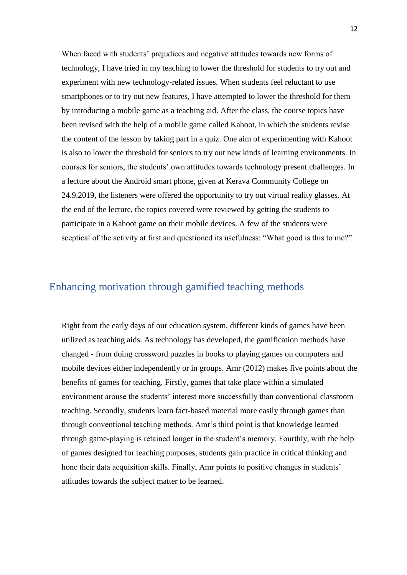When faced with students' prejudices and negative attitudes towards new forms of technology, I have tried in my teaching to lower the threshold for students to try out and experiment with new technology-related issues. When students feel reluctant to use smartphones or to try out new features, I have attempted to lower the threshold for them by introducing a mobile game as a teaching aid. After the class, the course topics have been revised with the help of a mobile game called Kahoot, in which the students revise the content of the lesson by taking part in a quiz. One aim of experimenting with Kahoot is also to lower the threshold for seniors to try out new kinds of learning environments. In courses for seniors, the students' own attitudes towards technology present challenges. In a lecture about the Android smart phone, given at Kerava Community College on 24.9.2019, the listeners were offered the opportunity to try out virtual reality glasses. At the end of the lecture, the topics covered were reviewed by getting the students to participate in a Kahoot game on their mobile devices. A few of the students were sceptical of the activity at first and questioned its usefulness: "What good is this to me?"

# <span id="page-12-0"></span>Enhancing motivation through gamified teaching methods

Right from the early days of our education system, different kinds of games have been utilized as teaching aids. As technology has developed, the gamification methods have changed - from doing crossword puzzles in books to playing games on computers and mobile devices either independently or in groups. Amr (2012) makes five points about the benefits of games for teaching. Firstly, games that take place within a simulated environment arouse the students' interest more successfully than conventional classroom teaching. Secondly, students learn fact-based material more easily through games than through conventional teaching methods. Amr's third point is that knowledge learned through game-playing is retained longer in the student's memory. Fourthly, with the help of games designed for teaching purposes, students gain practice in critical thinking and hone their data acquisition skills. Finally, Amr points to positive changes in students' attitudes towards the subject matter to be learned.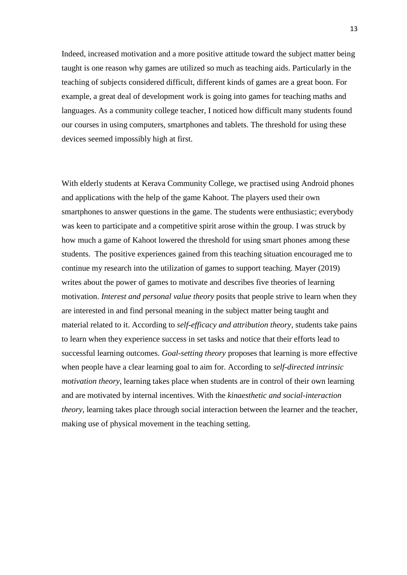Indeed, increased motivation and a more positive attitude toward the subject matter being taught is one reason why games are utilized so much as teaching aids. Particularly in the teaching of subjects considered difficult, different kinds of games are a great boon. For example, a great deal of development work is going into games for teaching maths and languages. As a community college teacher, I noticed how difficult many students found our courses in using computers, smartphones and tablets. The threshold for using these devices seemed impossibly high at first.

With elderly students at Kerava Community College, we practised using Android phones and applications with the help of the game Kahoot. The players used their own smartphones to answer questions in the game. The students were enthusiastic; everybody was keen to participate and a competitive spirit arose within the group. I was struck by how much a game of Kahoot lowered the threshold for using smart phones among these students. The positive experiences gained from this teaching situation encouraged me to continue my research into the utilization of games to support teaching. Mayer (2019) writes about the power of games to motivate and describes five theories of learning motivation. *Interest and personal value theory* posits that people strive to learn when they are interested in and find personal meaning in the subject matter being taught and material related to it. According to *self-efficacy and attribution theory*, students take pains to learn when they experience success in set tasks and notice that their efforts lead to successful learning outcomes. *Goal-setting theory* proposes that learning is more effective when people have a clear learning goal to aim for. According to *self-directed intrinsic motivation theory*, learning takes place when students are in control of their own learning and are motivated by internal incentives. With the *kinaesthetic and social-interaction theory*, learning takes place through social interaction between the learner and the teacher, making use of physical movement in the teaching setting.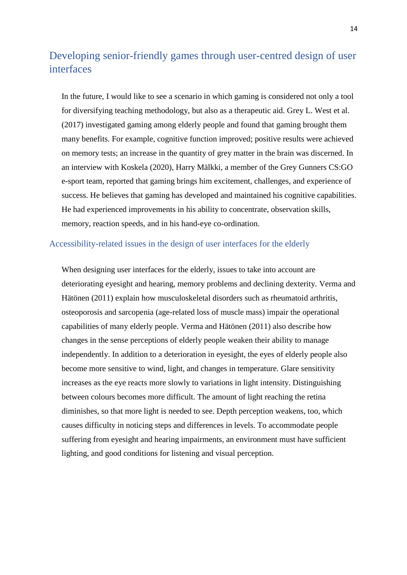# <span id="page-14-0"></span>Developing senior-friendly games through user-centred design of user interfaces

In the future, I would like to see a scenario in which gaming is considered not only a tool for diversifying teaching methodology, but also as a therapeutic aid. Grey L. West et al. (2017) investigated gaming among elderly people and found that gaming brought them many benefits. For example, cognitive function improved; positive results were achieved on memory tests; an increase in the quantity of grey matter in the brain was discerned. In an interview with Koskela (2020), Harry Mälkki, a member of the Grey Gunners CS:GO e-sport team, reported that gaming brings him excitement, challenges, and experience of success. He believes that gaming has developed and maintained his cognitive capabilities. He had experienced improvements in his ability to concentrate, observation skills, memory, reaction speeds, and in his hand-eye co-ordination.

#### <span id="page-14-1"></span>Accessibility-related issues in the design of user interfaces for the elderly

When designing user interfaces for the elderly, issues to take into account are deteriorating eyesight and hearing, memory problems and declining dexterity. Verma and Hätönen (2011) explain how musculoskeletal disorders such as rheumatoid arthritis, osteoporosis and sarcopenia (age-related loss of muscle mass) impair the operational capabilities of many elderly people. Verma and Hätönen (2011) also describe how changes in the sense perceptions of elderly people weaken their ability to manage independently. In addition to a deterioration in eyesight, the eyes of elderly people also become more sensitive to wind, light, and changes in temperature. Glare sensitivity increases as the eye reacts more slowly to variations in light intensity. Distinguishing between colours becomes more difficult. The amount of light reaching the retina diminishes, so that more light is needed to see. Depth perception weakens, too, which causes difficulty in noticing steps and differences in levels. To accommodate people suffering from eyesight and hearing impairments, an environment must have sufficient lighting, and good conditions for listening and visual perception.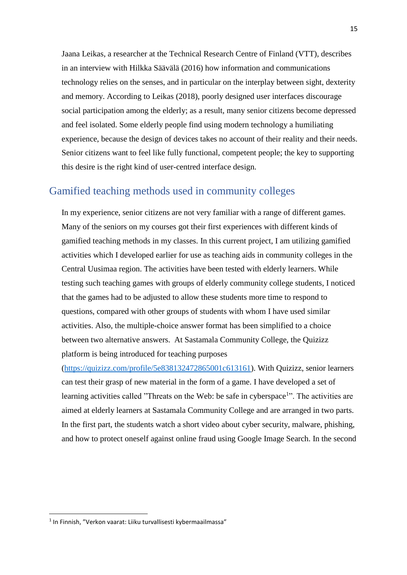Jaana Leikas, a researcher at the Technical Research Centre of Finland (VTT), describes in an interview with Hilkka Säävälä (2016) how information and communications technology relies on the senses, and in particular on the interplay between sight, dexterity and memory. According to Leikas (2018), poorly designed user interfaces discourage social participation among the elderly; as a result, many senior citizens become depressed and feel isolated. Some elderly people find using modern technology a humiliating experience, because the design of devices takes no account of their reality and their needs. Senior citizens want to feel like fully functional, competent people; the key to supporting this desire is the right kind of user-centred interface design.

# <span id="page-15-0"></span>Gamified teaching methods used in community colleges

In my experience, senior citizens are not very familiar with a range of different games. Many of the seniors on my courses got their first experiences with different kinds of gamified teaching methods in my classes. In this current project, I am utilizing gamified activities which I developed earlier for use as teaching aids in community colleges in the Central Uusimaa region. The activities have been tested with elderly learners. While testing such teaching games with groups of elderly community college students, I noticed that the games had to be adjusted to allow these students more time to respond to questions, compared with other groups of students with whom I have used similar activities. Also, the multiple-choice answer format has been simplified to a choice between two alternative answers. At Sastamala Community College, the Quizizz platform is being introduced for teaching purposes

[\(https://quizizz.com/profile/5e838132472865001c613161\)](https://quizizz.com/profile/5e838132472865001c613161). With Quizizz, senior learners can test their grasp of new material in the form of a game. I have developed a set of learning activities called "Threats on the Web: be safe in cyberspace<sup>1</sup>". The activities are aimed at elderly learners at Sastamala Community College and are arranged in two parts. In the first part, the students watch a short video about cyber security, malware, phishing, and how to protect oneself against online fraud using Google Image Search. In the second

**.** 

<sup>1</sup> In Finnish, "Verkon vaarat: Liiku turvallisesti kybermaailmassa"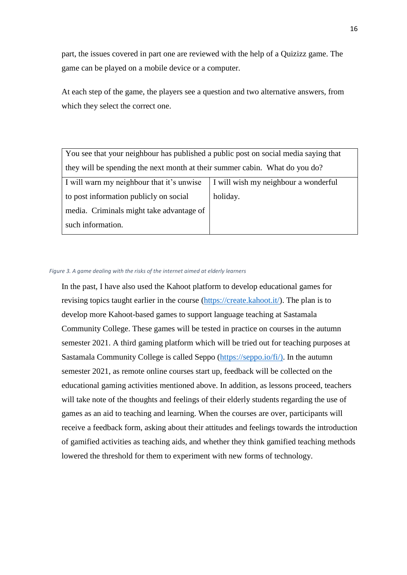part, the issues covered in part one are reviewed with the help of a Quizizz game. The game can be played on a mobile device or a computer.

At each step of the game, the players see a question and two alternative answers, from which they select the correct one.

You see that your neighbour has published a public post on social media saying that they will be spending the next month at their summer cabin. What do you do?

| I will warn my neighbour that it's unwise   I will wish my neighbour a wonderful |          |
|----------------------------------------------------------------------------------|----------|
| to post information publicly on social                                           | holiday. |
| media. Criminals might take advantage of                                         |          |
| such information.                                                                |          |

#### *Figure 3. A game dealing with the risks of the internet aimed at elderly learners*

In the past, I have also used the Kahoot platform to develop educational games for revising topics taught earlier in the course [\(https://create.kahoot.it/\)](https://create.kahoot.it/). The plan is to develop more Kahoot-based games to support language teaching at Sastamala Community College. These games will be tested in practice on courses in the autumn semester 2021. A third gaming platform which will be tried out for teaching purposes at Sastamala Community College is called Seppo [\(https://seppo.io/fi/\)](https://seppo.io/fi/). In the autumn semester 2021, as remote online courses start up, feedback will be collected on the educational gaming activities mentioned above. In addition, as lessons proceed, teachers will take note of the thoughts and feelings of their elderly students regarding the use of games as an aid to teaching and learning. When the courses are over, participants will receive a feedback form, asking about their attitudes and feelings towards the introduction of gamified activities as teaching aids, and whether they think gamified teaching methods lowered the threshold for them to experiment with new forms of technology.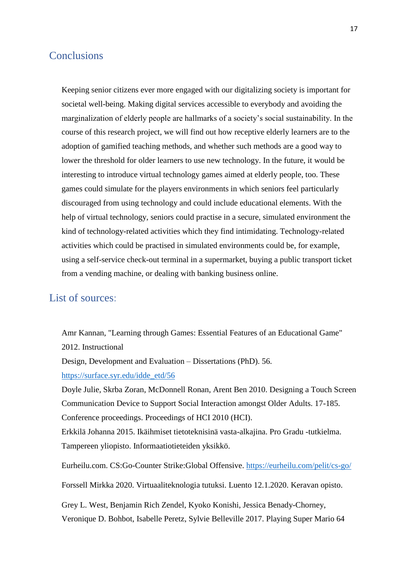### <span id="page-17-0"></span>**Conclusions**

Keeping senior citizens ever more engaged with our digitalizing society is important for societal well-being. Making digital services accessible to everybody and avoiding the marginalization of elderly people are hallmarks of a society's social sustainability. In the course of this research project, we will find out how receptive elderly learners are to the adoption of gamified teaching methods, and whether such methods are a good way to lower the threshold for older learners to use new technology. In the future, it would be interesting to introduce virtual technology games aimed at elderly people, too. These games could simulate for the players environments in which seniors feel particularly discouraged from using technology and could include educational elements. With the help of virtual technology, seniors could practise in a secure, simulated environment the kind of technology-related activities which they find intimidating. Technology-related activities which could be practised in simulated environments could be, for example, using a self-service check-out terminal in a supermarket, buying a public transport ticket from a vending machine, or dealing with banking business online.

# <span id="page-17-1"></span>List of sources:

Amr Kannan, "Learning through Games: Essential Features of an Educational Game" 2012. Instructional

Design, Development and Evaluation – Dissertations (PhD). 56.

[https://surface.syr.edu/idde\\_etd/56](https://surface.syr.edu/idde_etd/56)

Doyle Julie, Skrba Zoran, McDonnell Ronan, Arent Ben 2010. Designing a Touch Screen Communication Device to Support Social Interaction amongst Older Adults. 17-185. Conference proceedings. Proceedings of HCI 2010 (HCI).

Erkkilä Johanna 2015. Ikäihmiset tietoteknisinä vasta-alkajina. Pro Gradu -tutkielma. Tampereen yliopisto. Informaatiotieteiden yksikkö.

Eurheilu.com. CS:Go-Counter Strike:Global Offensive.<https://eurheilu.com/pelit/cs-go/>

Forssell Mirkka 2020. Virtuaaliteknologia tutuksi. Luento 12.1.2020. Keravan opisto.

Grey L. West, Benjamin Rich Zendel, Kyoko Konishi, Jessica Benady-Chorney, Veronique D. Bohbot, Isabelle Peretz, Sylvie Belleville 2017. Playing Super Mario 64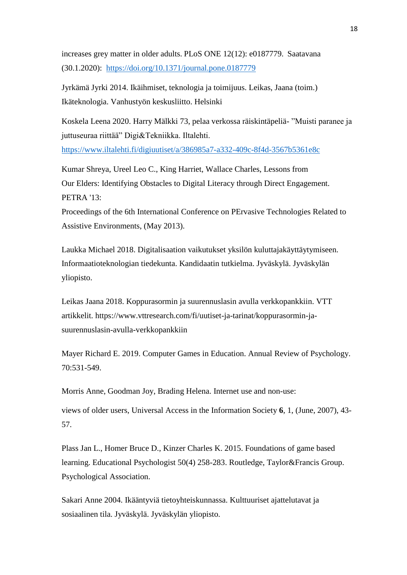increases grey matter in older adults. PLoS ONE 12(12): e0187779. Saatavana (30.1.2020): <https://doi.org/10.1371/journal.pone.0187779>

Jyrkämä Jyrki 2014. Ikäihmiset, teknologia ja toimijuus. Leikas, Jaana (toim.) Ikäteknologia. Vanhustyön keskusliitto. Helsinki

Koskela Leena 2020. Harry Mälkki 73, pelaa verkossa räiskintäpeliä- "Muisti paranee ja juttuseuraa riittää" Digi&Tekniikka. Iltalehti.

<https://www.iltalehti.fi/digiuutiset/a/386985a7-a332-409c-8f4d-3567b5361e8c>

Kumar Shreya, Ureel Leo C., King Harriet, Wallace Charles, Lessons from Our Elders: Identifying Obstacles to Digital Literacy through Direct Engagement. PETRA '13:

Proceedings of the 6th International Conference on PErvasive Technologies Related to Assistive Environments, (May 2013).

Laukka Michael 2018. Digitalisaation vaikutukset yksilön kuluttajakäyttäytymiseen. Informaatioteknologian tiedekunta. Kandidaatin tutkielma. Jyväskylä. Jyväskylän yliopisto.

Leikas Jaana 2018. Koppurasormin ja suurennuslasin avulla verkkopankkiin. VTT artikkelit. https://www.vttresearch.com/fi/uutiset-ja-tarinat/koppurasormin-jasuurennuslasin-avulla-verkkopankkiin

Mayer Richard E. 2019. Computer Games in Education. Annual Review of Psychology. 70:531-549.

Morris Anne, Goodman Joy, Brading Helena. Internet use and non-use:

views of older users, Universal Access in the Information Society **6**, 1, (June, 2007), 43- 57.

Plass Jan L., Homer Bruce D., Kinzer Charles K. 2015. Foundations of game based learning. Educational Psychologist 50(4) 258-283. Routledge, Taylor&Francis Group. Psychological Association.

Sakari Anne 2004. Ikääntyviä tietoyhteiskunnassa. Kulttuuriset ajattelutavat ja sosiaalinen tila. Jyväskylä. Jyväskylän yliopisto.